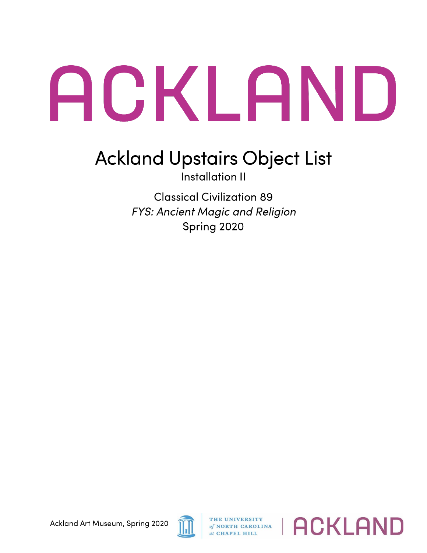## ACKLAND

## **Ackland Upstairs Object List**

Installation 11

Classical Civilization 89 *FYS: Ancient Magic and Religion*  Spring 2020



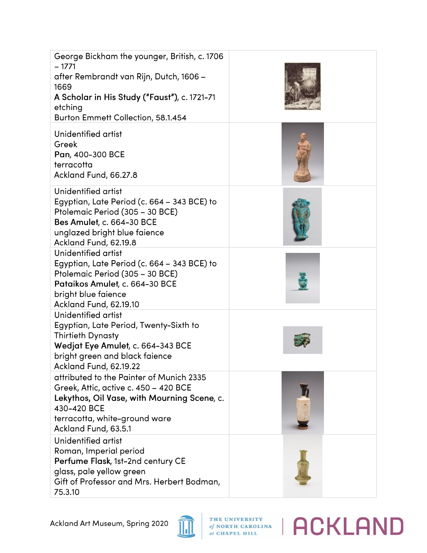| George Bickham the younger, British, c. 1706<br>$-1771$<br>after Rembrandt van Rijn, Dutch, 1606 –<br>1669<br>A Scholar in His Study ("Faust"), c. 1721-71<br>etching<br>Burton Emmett Collection, 58.1.454 |  |
|-------------------------------------------------------------------------------------------------------------------------------------------------------------------------------------------------------------|--|
| Unidentified artist<br>Greek<br>Pan, 400-300 BCE<br>terracotta<br>Ackland Fund, 66.27.8                                                                                                                     |  |
| Unidentified artist<br>Egyptian, Late Period (c. 664 – 343 BCE) to<br>Ptolemaic Period (305 - 30 BCE)<br>Bes Amulet, c. 664-30 BCE<br>unglazed bright blue faience<br>Ackland Fund, 62.19.8                 |  |
| Unidentified artist<br>Egyptian, Late Period (c. 664 – 343 BCE) to<br>Ptolemaic Period (305 - 30 BCE)<br>Pataikos Amulet, c. 664-30 BCE<br>bright blue faience<br>Ackland Fund, 62.19.10                    |  |
| Unidentified artist<br>Egyptian, Late Period, Twenty-Sixth to<br><b>Thirtieth Dynasty</b><br>Wedjat Eye Amulet, c. 664-343 BCE<br>bright green and black faience<br>Ackland Fund, 62.19.22                  |  |
| attributed to the Painter of Munich 2335<br>Greek, Attic, active c. 450 - 420 BCE<br>Lekythos, Oil Vase, with Mourning Scene, c.<br>430-420 BCE<br>terracotta, white-ground ware<br>Ackland Fund, 63.5.1    |  |
| Unidentified artist<br>Roman, Imperial period<br>Perfume Flask, 1st-2nd century CE<br>glass, pale yellow green<br>Gift of Professor and Mrs. Herbert Bodman,<br>75.3.10                                     |  |



*A <b>C ACKLAND*